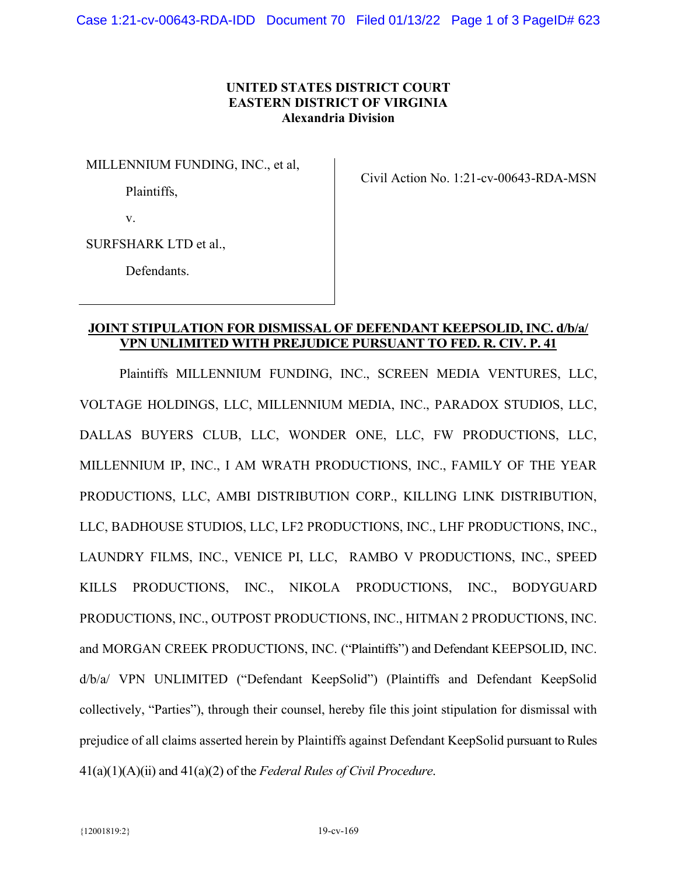## **UNITED STATES DISTRICT COURT EASTERN DISTRICT OF VIRGINIA Alexandria Division**

MILLENNIUM FUNDING, INC., et al,

Plaintiffs,

Civil Action No. 1:21-cv-00643-RDA-MSN

v.

SURFSHARK LTD et al.,

Defendants.

## **JOINT STIPULATION FOR DISMISSAL OF DEFENDANT KEEPSOLID, INC. d/b/a/ VPN UNLIMITED WITH PREJUDICE PURSUANT TO FED. R. CIV. P. 41**

Plaintiffs MILLENNIUM FUNDING, INC., SCREEN MEDIA VENTURES, LLC, VOLTAGE HOLDINGS, LLC, MILLENNIUM MEDIA, INC., PARADOX STUDIOS, LLC, DALLAS BUYERS CLUB, LLC, WONDER ONE, LLC, FW PRODUCTIONS, LLC, MILLENNIUM IP, INC., I AM WRATH PRODUCTIONS, INC., FAMILY OF THE YEAR PRODUCTIONS, LLC, AMBI DISTRIBUTION CORP., KILLING LINK DISTRIBUTION, LLC, BADHOUSE STUDIOS, LLC, LF2 PRODUCTIONS, INC., LHF PRODUCTIONS, INC., LAUNDRY FILMS, INC., VENICE PI, LLC, RAMBO V PRODUCTIONS, INC., SPEED KILLS PRODUCTIONS, INC., NIKOLA PRODUCTIONS, INC., BODYGUARD PRODUCTIONS, INC., OUTPOST PRODUCTIONS, INC., HITMAN 2 PRODUCTIONS, INC. and MORGAN CREEK PRODUCTIONS, INC. ("Plaintiffs") and Defendant KEEPSOLID, INC. d/b/a/ VPN UNLIMITED ("Defendant KeepSolid") (Plaintiffs and Defendant KeepSolid collectively, "Parties"), through their counsel, hereby file this joint stipulation for dismissal with prejudice of all claims asserted herein by Plaintiffs against Defendant KeepSolid pursuant to Rules 41(a)(1)(A)(ii) and 41(a)(2) of the *Federal Rules of Civil Procedure*.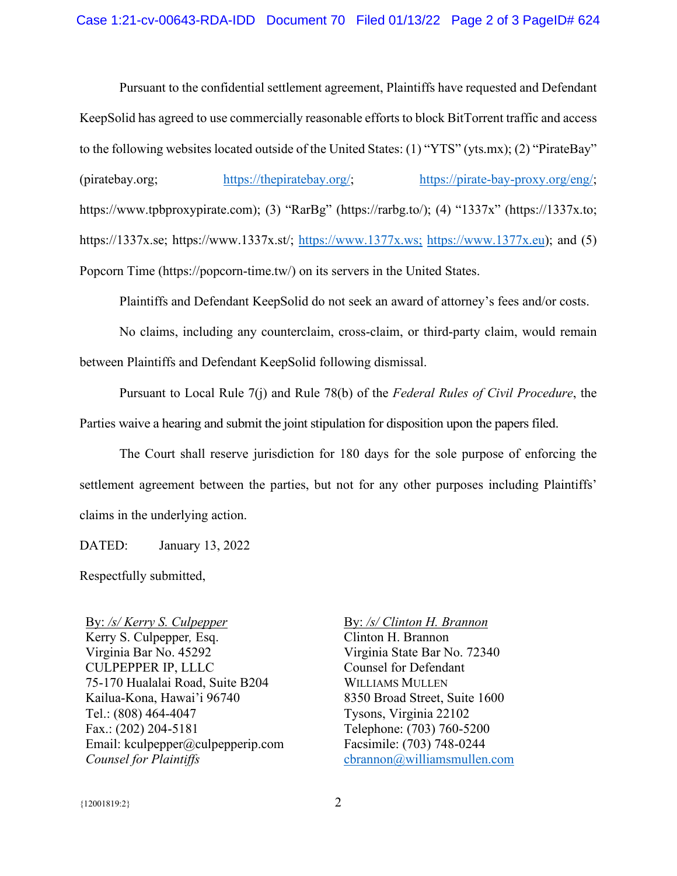Pursuant to the confidential settlement agreement, Plaintiffs have requested and Defendant KeepSolid has agreed to use commercially reasonable efforts to block BitTorrent traffic and access to the following websites located outside of the United States: (1) "YTS" (yts.mx); (2) "PirateBay" (piratebay.org; [https://thepiratebay.org/;](https://thepiratebay.org/) [https://pirate-bay-proxy.org/eng/;](https://pirate-bay-proxy.org/eng/) https://www.tpbproxypirate.com); (3) "RarBg" (https://rarbg.to/); (4) "1337x" (https://1337x.to; https://1337x.se; https://www.1337x.st/; [https://www.1377x.ws;](https://www.1377x.ws/) [https://www.1377x.eu\)](https://www.1377x.eu/); and (5) Popcorn Time (https://popcorn-time.tw/) on its servers in the United States.

Plaintiffs and Defendant KeepSolid do not seek an award of attorney's fees and/or costs.

No claims, including any counterclaim, cross-claim, or third-party claim, would remain between Plaintiffs and Defendant KeepSolid following dismissal.

Pursuant to Local Rule 7(j) and Rule 78(b) of the *Federal Rules of Civil Procedure*, the Parties waive a hearing and submit the joint stipulation for disposition upon the papers filed.

The Court shall reserve jurisdiction for 180 days for the sole purpose of enforcing the settlement agreement between the parties, but not for any other purposes including Plaintiffs' claims in the underlying action.

DATED: January 13, 2022

Respectfully submitted,

By: */s/ Kerry S. Culpepper* Kerry S. Culpepper*,* Esq. Virginia Bar No. 45292 CULPEPPER IP, LLLC 75-170 Hualalai Road, Suite B204 Kailua-Kona, Hawai'i 96740 Tel.: (808) 464-4047 Fax.: (202) 204-5181 Email: kculpepper@culpepperip.com *Counsel for Plaintiffs*

By: */s/ Clinton H. Brannon* Clinton H. Brannon Virginia State Bar No. 72340 Counsel for Defendant WILLIAMS MULLEN 8350 Broad Street, Suite 1600 Tysons, Virginia 22102 Telephone: (703) 760-5200 Facsimile: (703) 748-0244 [cbrannon@williamsmullen.com](mailto:cbrannon@williamsmullen.com)